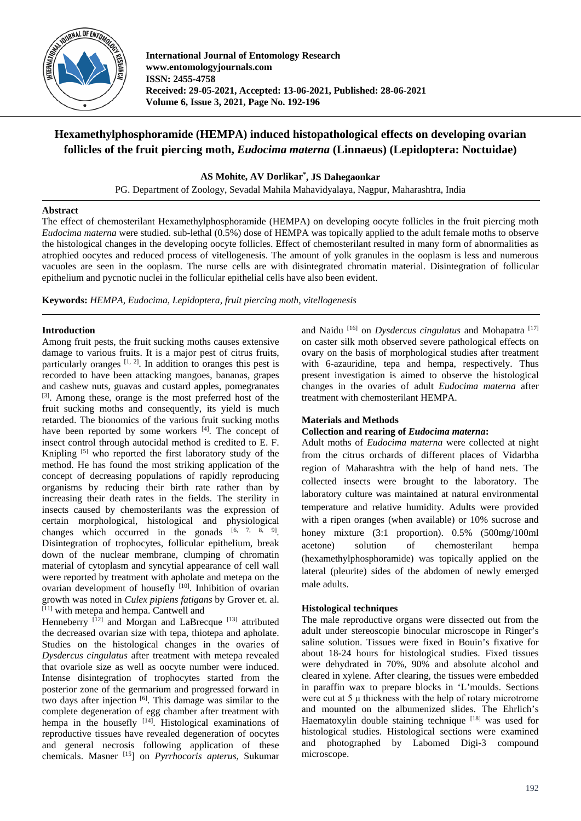

**International Journal of Entomology Research www.entomologyjournals.com ISSN: 2455-4758 Received: 29-05-2021, Accepted: 13-06-2021, Published: 28-06-2021 Volume 6, Issue 3, 2021, Page No. 192-196**

# **Hexamethylphosphoramide (HEMPA) induced histopathological effects on developing ovarian follicles of the fruit piercing moth,** *Eudocima materna* **(Linnaeus) (Lepidoptera: Noctuidae)**

**AS Mohite, AV Dorlikar\* , JS Dahegaonkar**

PG. Department of Zoology, Sevadal Mahila Mahavidyalaya, Nagpur, Maharashtra, India

# **Abstract**

The effect of chemosterilant Hexamethylphosphoramide (HEMPA) on developing oocyte follicles in the fruit piercing moth *Eudocima materna* were studied. sub-lethal (0.5%) dose of HEMPA was topically applied to the adult female moths to observe the histological changes in the developing oocyte follicles. Effect of chemosterilant resulted in many form of abnormalities as atrophied oocytes and reduced process of vitellogenesis. The amount of yolk granules in the ooplasm is less and numerous vacuoles are seen in the ooplasm. The nurse cells are with disintegrated chromatin material. Disintegration of follicular epithelium and pycnotic nuclei in the follicular epithelial cells have also been evident.

**Keywords:** *HEMPA, Eudocima, Lepidoptera, fruit piercing moth, vitellogenesis*

# **Introduction**

Among fruit pests, the fruit sucking moths causes extensive damage to various fruits. It is a major pest of citrus fruits, particularly oranges  $[1, 2]$ . In addition to oranges this pest is recorded to have been attacking mangoes, bananas, grapes and cashew nuts, guavas and custard apples, pomegranates [3]. Among these, orange is the most preferred host of the fruit sucking moths and consequently, its yield is much retarded. The bionomics of the various fruit sucking moths have been reported by some workers [4]. The concept of insect control through autocidal method is credited to E. F. Knipling [5] who reported the first laboratory study of the method. He has found the most striking application of the concept of decreasing populations of rapidly reproducing organisms by reducing their birth rate rather than by increasing their death rates in the fields. The sterility in insects caused by chemosterilants was the expression of certain morphological, histological and physiological changes which occurred in the gonads  $[6, 7, 8, 9]$ . Disintegration of trophocytes, follicular epithelium, break down of the nuclear membrane, clumping of chromatin material of cytoplasm and syncytial appearance of cell wall were reported by treatment with apholate and metepa on the ovarian development of housefly [10]. Inhibition of ovarian growth was noted in *Culex pipiens fatigans* by Grover et. al. [11] with metepa and hempa. Cantwell and

Henneberry <sup>[12]</sup> and Morgan and LaBrecque <sup>[13]</sup> attributed the decreased ovarian size with tepa, thiotepa and apholate. Studies on the histological changes in the ovaries of *Dysdercus cingulatus* after treatment with metepa revealed that ovariole size as well as oocyte number were induced. Intense disintegration of trophocytes started from the posterior zone of the germarium and progressed forward in two days after injection <sup>[6]</sup>. This damage was similar to the complete degeneration of egg chamber after treatment with hempa in the housefly <sup>[14]</sup>. Histological examinations of reproductive tissues have revealed degeneration of oocytes and general necrosis following application of these chemicals. Masner [15] on *Pyrrhocoris apterus*, Sukumar and Naidu <sup>[16]</sup> on *Dysdercus cingulatus* and Mohapatra <sup>[17]</sup> on caster silk moth observed severe pathological effects on ovary on the basis of morphological studies after treatment with 6-azauridine, tepa and hempa, respectively. Thus present investigation is aimed to observe the histological changes in the ovaries of adult *Eudocima materna* after treatment with chemosterilant HEMPA.

# **Materials and Methods**

# **Collection and rearing of** *Eudocima materna***:**

Adult moths of *Eudocima materna* were collected at night from the citrus orchards of different places of Vidarbha region of Maharashtra with the help of hand nets. The collected insects were brought to the laboratory. The laboratory culture was maintained at natural environmental temperature and relative humidity. Adults were provided with a ripen oranges (when available) or 10% sucrose and honey mixture (3:1 proportion). 0.5% (500mg/100ml acetone) solution of chemosterilant hempa (hexamethylphosphoramide) was topically applied on the lateral (pleurite) sides of the abdomen of newly emerged male adults.

# **Histological techniques**

The male reproductive organs were dissected out from the adult under stereoscopie binocular microscope in Ringer's saline solution. Tissues were fixed in Bouin's fixative for about 18-24 hours for histological studies. Fixed tissues were dehydrated in 70%, 90% and absolute alcohol and cleared in xylene. After clearing, the tissues were embedded in paraffin wax to prepare blocks in 'L'moulds. Sections were cut at 5 μ thickness with the help of rotary microtrome and mounted on the albumenized slides. The Ehrlich's Haematoxylin double staining technique  $[18]$  was used for histological studies. Histological sections were examined and photographed by Labomed Digi-3 compound microscope.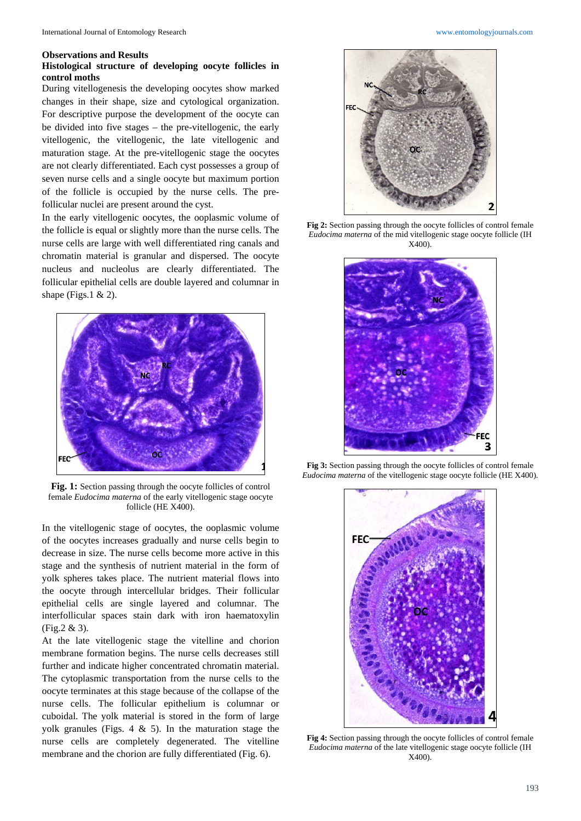#### **Observations and Results**

### **Histological structure of developing oocyte follicles in control moths**

During vitellogenesis the developing oocytes show marked changes in their shape, size and cytological organization. For descriptive purpose the development of the oocyte can be divided into five stages – the pre-vitellogenic, the early vitellogenic, the vitellogenic, the late vitellogenic and maturation stage. At the pre-vitellogenic stage the oocytes are not clearly differentiated. Each cyst possesses a group of seven nurse cells and a single oocyte but maximum portion of the follicle is occupied by the nurse cells. The prefollicular nuclei are present around the cyst.

In the early vitellogenic oocytes, the ooplasmic volume of the follicle is equal or slightly more than the nurse cells. The nurse cells are large with well differentiated ring canals and chromatin material is granular and dispersed. The oocyte nucleus and nucleolus are clearly differentiated. The follicular epithelial cells are double layered and columnar in shape (Figs.1  $\&$  2).



**Fig. 1:** Section passing through the oocyte follicles of control female *Eudocima materna* of the early vitellogenic stage oocyte follicle (HE X400).

In the vitellogenic stage of oocytes, the ooplasmic volume of the oocytes increases gradually and nurse cells begin to decrease in size. The nurse cells become more active in this stage and the synthesis of nutrient material in the form of yolk spheres takes place. The nutrient material flows into the oocyte through intercellular bridges. Their follicular epithelial cells are single layered and columnar. The interfollicular spaces stain dark with iron haematoxylin (Fig.2 & 3).

At the late vitellogenic stage the vitelline and chorion membrane formation begins. The nurse cells decreases still further and indicate higher concentrated chromatin material. The cytoplasmic transportation from the nurse cells to the oocyte terminates at this stage because of the collapse of the nurse cells. The follicular epithelium is columnar or cuboidal. The yolk material is stored in the form of large yolk granules (Figs.  $4 \& 5$ ). In the maturation stage the nurse cells are completely degenerated. The vitelline membrane and the chorion are fully differentiated (Fig. 6).



**Fig 2:** Section passing through the oocyte follicles of control female *Eudocima materna* of the mid vitellogenic stage oocyte follicle (IH X400).



**Fig 3:** Section passing through the oocyte follicles of control female *Eudocima materna* of the vitellogenic stage oocyte follicle (HE X400).



**Fig 4:** Section passing through the oocyte follicles of control female *Eudocima materna* of the late vitellogenic stage oocyte follicle (IH X400).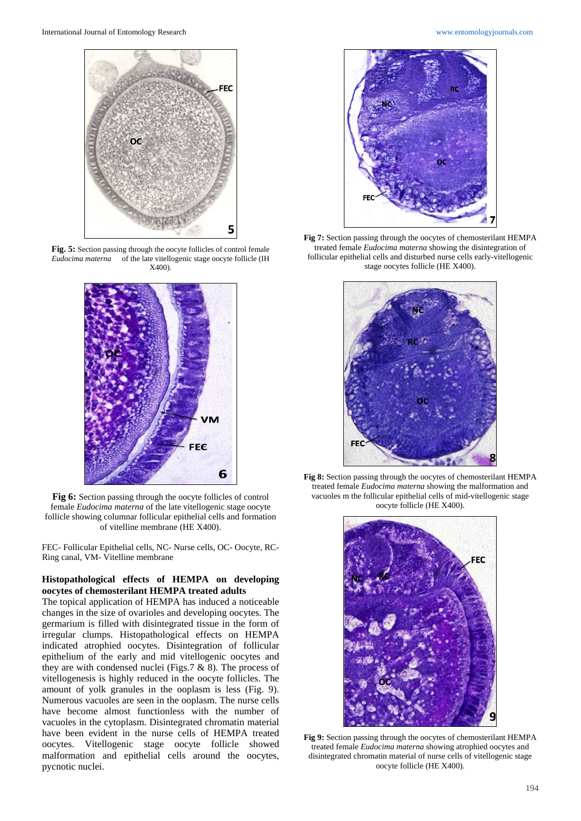

**Fig. 5:** Section passing through the oocyte follicles of control female *Eudocima materna* of the late vitellogenic stage oocyte follicle (IH X400).



**Fig 6:** Section passing through the oocyte follicles of control female *Eudocima materna* of the late vitellogenic stage oocyte follicle showing columnar follicular epithelial cells and formation of vitelline membrane (HE X400).

FEC- Follicular Epithelial cells, NC- Nurse cells, OC- Oocyte, RC-Ring canal, VM- Vitelline membrane

### **Histopathological effects of HEMPA on developing oocytes of chemosterilant HEMPA treated adults**

The topical application of HEMPA has induced a noticeable changes in the size of ovarioles and developing oocytes. The germarium is filled with disintegrated tissue in the form of irregular clumps. Histopathological effects on HEMPA indicated atrophied oocytes. Disintegration of follicular epithelium of the early and mid vitellogenic oocytes and they are with condensed nuclei (Figs.7 & 8). The process of vitellogenesis is highly reduced in the oocyte follicles. The amount of yolk granules in the ooplasm is less (Fig. 9). Numerous vacuoles are seen in the ooplasm. The nurse cells have become almost functionless with the number of vacuoles in the cytoplasm. Disintegrated chromatin material have been evident in the nurse cells of HEMPA treated oocytes. Vitellogenic stage oocyte follicle showed malformation and epithelial cells around the oocytes, pycnotic nuclei.



**Fig 7:** Section passing through the oocytes of chemosterilant HEMPA treated female *Eudocima materna* showing the disintegration of follicular epithelial cells and disturbed nurse cells early-vitellogenic stage oocytes follicle (HE X400).



**Fig 8:** Section passing through the oocytes of chemosterilant HEMPA treated female *Eudocima materna* showing the malformation and vacuoles m the follicular epithelial cells of mid-vitellogenic stage oocyte follicle (HE X400).



**Fig 9:** Section passing through the oocytes of chemosterilant HEMPA treated female *Eudocima materna* showing atrophied oocytes and disintegrated chromatin material of nurse cells of vitellogenic stage oocyte follicle (HE X400).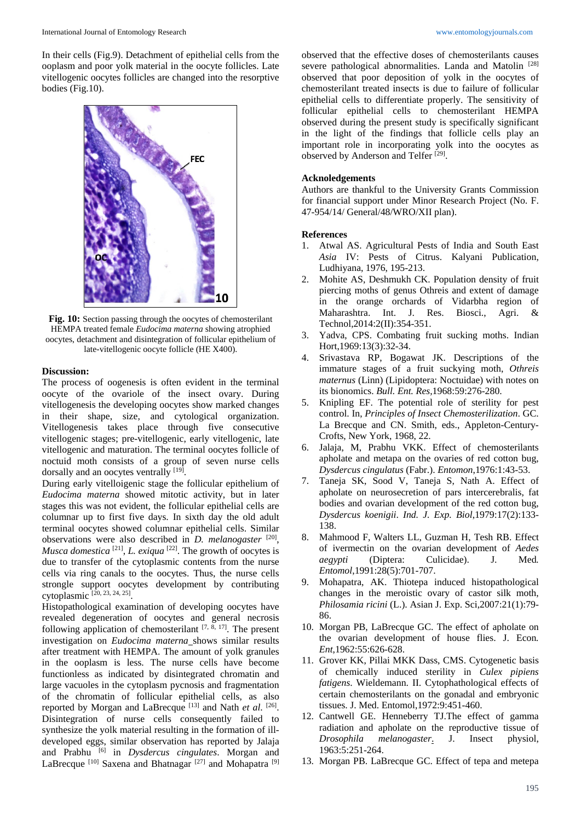In their cells (Fig.9). Detachment of epithelial cells from the ooplasm and poor yolk material in the oocyte follicles. Late vitellogenic oocytes follicles are changed into the resorptive bodies (Fig.10).



**Fig. 10:** Section passing through the oocytes of chemosterilant HEMPA treated female *Eudocima materna* showing atrophied oocytes, detachment and disintegration of follicular epithelium of late-vitellogenic oocyte follicle (HE X400).

#### **Discussion:**

The process of oogenesis is often evident in the terminal oocyte of the ovariole of the insect ovary. During vitellogenesis the developing oocytes show marked changes in their shape, size, and cytological organization. Vitellogenesis takes place through five consecutive vitellogenic stages; pre-vitellogenic, early vitellogenic, late vitellogenic and maturation. The terminal oocytes follicle of noctuid moth consists of a group of seven nurse cells dorsally and an oocytes ventrally <sup>[19]</sup>.

During early vitelloigenic stage the follicular epithelium of *Eudocima materna* showed mitotic activity, but in later stages this was not evident, the follicular epithelial cells are columnar up to first five days. In sixth day the old adult terminal oocytes showed columnar epithelial cells. Similar observations were also described in *D. melanogaster* [20], *Musca domestica* <sup>[21]</sup>, *L. exiqua* <sup>[22]</sup>. The growth of oocytes is due to transfer of the cytoplasmic contents from the nurse cells via ring canals to the oocytes. Thus, the nurse cells strongle support oocytes development by contributing cytoplasmic [20, 23, 24, 25].

Histopathological examination of developing oocytes have revealed degeneration of oocytes and general necrosis following application of chemosterilant  $[7, 8, 17]$ . The present investigation on *Eudocima materna* shows similar results after treatment with HEMPA. The amount of yolk granules in the ooplasm is less. The nurse cells have become functionless as indicated by disintegrated chromatin and large vacuoles in the cytoplasm pycnosis and fragmentation of the chromatin of follicular epithelial cells, as also reported by Morgan and LaBrecque [13] and Nath *et al*. [26]. Disintegration of nurse cells consequently failed to synthesize the yolk material resulting in the formation of illdeveloped eggs, similar observation has reported by Jalaja and Prabhu [6] in *Dysdercus cingulates*. Morgan and LaBrecque [10] Saxena and Bhatnagar [27] and Mohapatra [9]

observed that the effective doses of chemosterilants causes severe pathological abnormalities. Landa and Matolin<sup>[28]</sup> observed that poor deposition of yolk in the oocytes of chemosterilant treated insects is due to failure of follicular epithelial cells to differentiate properly. The sensitivity of follicular epithelial cells to chemosterilant HEMPA observed during the present study is specifically significant in the light of the findings that follicle cells play an important role in incorporating yolk into the oocytes as observed by Anderson and Telfer<sup>[29]</sup>.

#### **Acknoledgements**

Authors are thankful to the University Grants Commission for financial support under Minor Research Project (No. F. 47-954/14/ General/48/WRO/XII plan).

#### **References**

- 1. Atwal AS. Agricultural Pests of India and South East *Asia* IV: Pests of Citrus. Kalyani Publication, Ludhiyana, 1976, 195-213.
- 2. Mohite AS, Deshmukh CK. Population density of fruit piercing moths of genus Othreis and extent of damage in the orange orchards of Vidarbha region of Maharashtra. Int. J. Res. Biosci., Agri. & Technol,2014:2(II):354-351.
- 3. Yadva, CPS. Combating fruit sucking moths. Indian Hort,1969:13(3):32-34.
- 4. Srivastava RP, Bogawat JK. Descriptions of the immature stages of a fruit suckying moth, *Othreis maternus* (Linn) (Lipidoptera: Noctuidae) with notes on its bionomics. *Bull. Ent. Res,*1968:59:276-280.
- 5. Knipling EF. The potential role of sterility for pest control. In, *Principles of Insect Chemosterilization*. GC. La Brecque and CN. Smith, eds., Appleton-Century-Crofts, New York, 1968, 22.
- 6. Jalaja, M, Prabhu VKK. Effect of chemosterilants apholate and metapa on the ovaries of red cotton bug, *Dysdercus cingulatus* (Fabr.). *Entomon*,1976:1:43-53.
- 7. Taneja SK, Sood V, Taneja S, Nath A. Effect of apholate on neurosecretion of pars intercerebralis, fat bodies and ovarian development of the red cotton bug, *Dysdercus koenigii*. *Ind. J. Exp. Biol*,1979:17(2):133- 138.
- 8. Mahmood F, Walters LL, Guzman H, Tesh RB. Effect of ivermectin on the ovarian development of *Aedes aegypti* (Diptera: Culicidae). J. Med*. Entomol*,1991:28(5):701-707.
- 9. Mohapatra, AK. Thiotepa induced histopathological changes in the meroistic ovary of castor silk moth, *Philosamia ricini* (L.). Asian J. Exp. Sci,2007:21(1):79- 86.
- 10. Morgan PB, LaBrecque GC. The effect of apholate on the ovarian development of house flies. J. Econ*. Ent*,1962:55:626-628.
- 11. Grover KK, Pillai MKK Dass, CMS. Cytogenetic basis of chemically induced sterility in *Culex pipiens fatigens*. Wieldemann. II. Cytophathological effects of certain chemosterilants on the gonadal and embryonic tissues. J. Med. Entomol,1972:9:451-460.
- 12. Cantwell GE. Henneberry TJ.The effect of gamma radiation and apholate on the reproductive tissue of *Drosophila melanogaster*. J. Insect physiol, 1963:5:251-264.
- 13. Morgan PB. LaBrecque GC. Effect of tepa and metepa